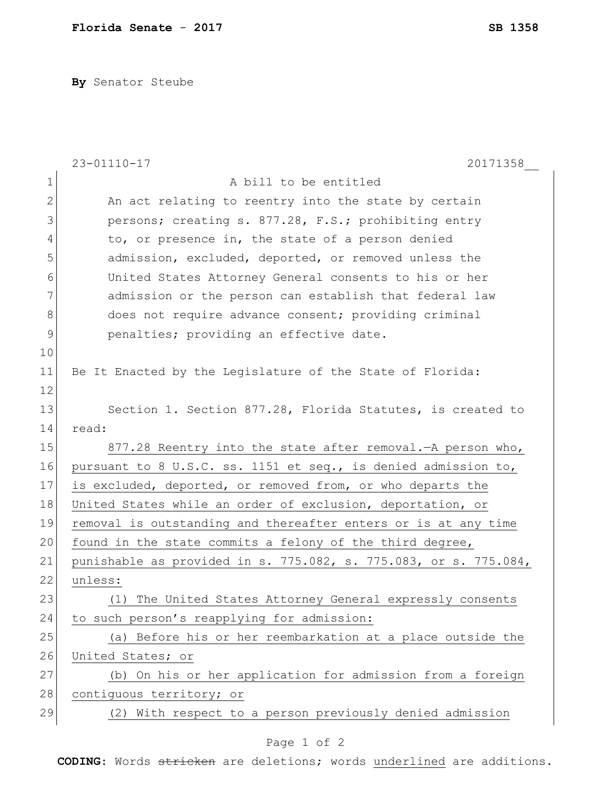**By** Senator Steube

|               | $23 - 01110 - 17$<br>20171358                                    |
|---------------|------------------------------------------------------------------|
| $\mathbf 1$   | A bill to be entitled                                            |
| $\mathbf{2}$  | An act relating to reentry into the state by certain             |
| 3             | persons; creating s. 877.28, F.S.; prohibiting entry             |
| 4             | to, or presence in, the state of a person denied                 |
| 5             | admission, excluded, deported, or removed unless the             |
| 6             | United States Attorney General consents to his or her            |
| 7             | admission or the person can establish that federal law           |
| $8\,$         | does not require advance consent; providing criminal             |
| $\mathcal{G}$ | penalties; providing an effective date.                          |
| 10            |                                                                  |
| 11            | Be It Enacted by the Legislature of the State of Florida:        |
| 12            |                                                                  |
| 13            | Section 1. Section 877.28, Florida Statutes, is created to       |
| 14            | read:                                                            |
| 15            | 877.28 Reentry into the state after removal. - A person who,     |
| 16            | pursuant to 8 U.S.C. ss. 1151 et seq., is denied admission to,   |
| 17            | is excluded, deported, or removed from, or who departs the       |
| 18            | United States while an order of exclusion, deportation, or       |
| 19            | removal is outstanding and thereafter enters or is at any time   |
| 20            | found in the state commits a felony of the third degree,         |
| 21            | punishable as provided in s. 775.082, s. 775.083, or s. 775.084, |
| 22            | unless:                                                          |
| 23            | (1) The United States Attorney General expressly consents        |
| 24            | to such person's reapplying for admission:                       |
| 25            | (a) Before his or her reembarkation at a place outside the       |
| 26            | United States; or                                                |
| 27            | (b) On his or her application for admission from a foreign       |
| 28            | contiguous territory; or                                         |
| 29            | (2) With respect to a person previously denied admission         |
|               |                                                                  |

## Page 1 of 2

**CODING**: Words stricken are deletions; words underlined are additions.